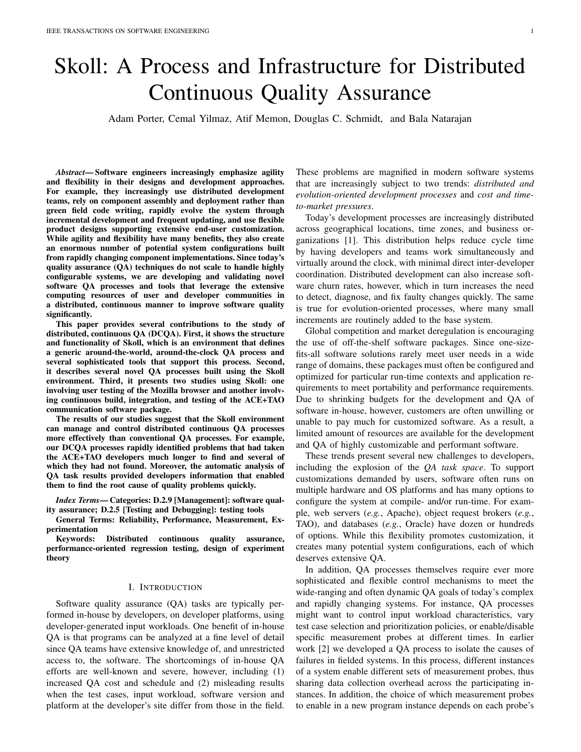# Skoll: A Process and Infrastructure for Distributed Continuous Quality Assurance

Adam Porter, Cemal Yilmaz, Atif Memon, Douglas C. Schmidt, and Bala Natarajan

*Abstract***— Software engineers increasingly emphasize agility and flexibility in their designs and development approaches. For example, they increasingly use distributed development teams, rely on component assembly and deployment rather than green field code writing, rapidly evolve the system through incremental development and frequent updating, and use flexible product designs supporting extensive end-user customization. While agility and flexibility have many benefits, they also create an enormous number of potential system configurations built from rapidly changing component implementations. Since today's quality assurance (QA) techniques do not scale to handle highly configurable systems, we are developing and validating novel software QA processes and tools that leverage the extensive computing resources of user and developer communities in a distributed, continuous manner to improve software quality significantly.**

**This paper provides several contributions to the study of distributed, continuous QA (DCQA). First, it shows the structure and functionality of Skoll, which is an environment that defines a generic around-the-world, around-the-clock QA process and several sophisticated tools that support this process. Second, it describes several novel QA processes built using the Skoll environment. Third, it presents two studies using Skoll: one involving user testing of the Mozilla browser and another involving continuous build, integration, and testing of the ACE+TAO communication software package.**

**The results of our studies suggest that the Skoll environment can manage and control distributed continuous QA processes more effectively than conventional QA processes. For example, our DCQA processes rapidly identified problems that had taken the ACE+TAO developers much longer to find and several of which they had not found. Moreover, the automatic analysis of QA task results provided developers information that enabled them to find the root cause of quality problems quickly.**

*Index Terms***— Categories: D.2.9 [Management]: software quality assurance; D.2.5 [Testing and Debugging]: testing tools**

**General Terms: Reliability, Performance, Measurement, Experimentation**

**Keywords: Distributed continuous quality assurance, performance-oriented regression testing, design of experiment theory**

### I. INTRODUCTION

Software quality assurance (QA) tasks are typically performed in-house by developers, on developer platforms, using developer-generated input workloads. One benefit of in-house QA is that programs can be analyzed at a fine level of detail since QA teams have extensive knowledge of, and unrestricted access to, the software. The shortcomings of in-house QA efforts are well-known and severe, however, including (1) increased QA cost and schedule and (2) misleading results when the test cases, input workload, software version and platform at the developer's site differ from those in the field. These problems are magnified in modern software systems that are increasingly subject to two trends: *distributed and evolution-oriented development processes* and *cost and timeto-market pressures*.

Today's development processes are increasingly distributed across geographical locations, time zones, and business organizations [1]. This distribution helps reduce cycle time by having developers and teams work simultaneously and virtually around the clock, with minimal direct inter-developer coordination. Distributed development can also increase software churn rates, however, which in turn increases the need to detect, diagnose, and fix faulty changes quickly. The same is true for evolution-oriented processes, where many small increments are routinely added to the base system.

Global competition and market deregulation is encouraging the use of off-the-shelf software packages. Since one-sizefits-all software solutions rarely meet user needs in a wide range of domains, these packages must often be configured and optimized for particular run-time contexts and application requirements to meet portability and performance requirements. Due to shrinking budgets for the development and QA of software in-house, however, customers are often unwilling or unable to pay much for customized software. As a result, a limited amount of resources are available for the development and QA of highly customizable and performant software.

These trends present several new challenges to developers, including the explosion of the *QA task space*. To support customizations demanded by users, software often runs on multiple hardware and OS platforms and has many options to configure the system at compile- and/or run-time. For example, web servers (*e.g.*, Apache), object request brokers (*e.g.*, TAO), and databases (*e.g.*, Oracle) have dozen or hundreds of options. While this flexibility promotes customization, it creates many potential system configurations, each of which deserves extensive QA.

In addition, QA processes themselves require ever more sophisticated and flexible control mechanisms to meet the wide-ranging and often dynamic QA goals of today's complex and rapidly changing systems. For instance, QA processes might want to control input workload characteristics, vary test case selection and prioritization policies, or enable/disable specific measurement probes at different times. In earlier work [2] we developed a QA process to isolate the causes of failures in fielded systems. In this process, different instances of a system enable different sets of measurement probes, thus sharing data collection overhead across the participating instances. In addition, the choice of which measurement probes to enable in a new program instance depends on each probe's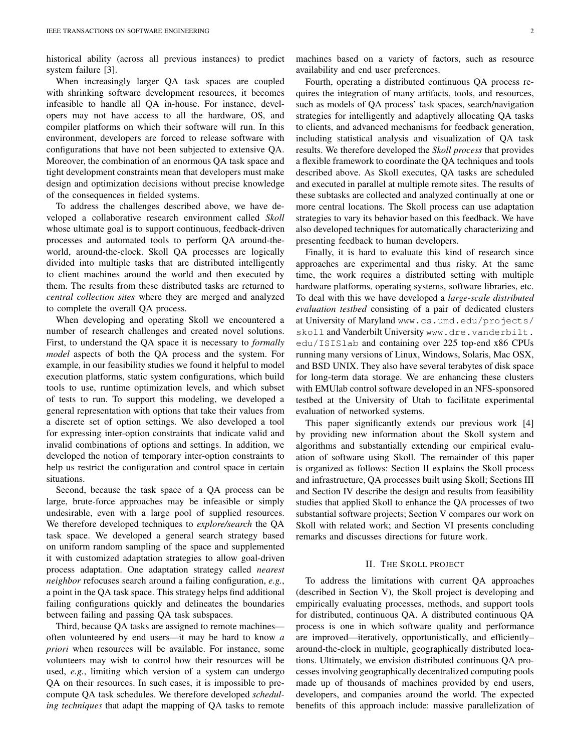historical ability (across all previous instances) to predict system failure [3].

When increasingly larger QA task spaces are coupled with shrinking software development resources, it becomes infeasible to handle all QA in-house. For instance, developers may not have access to all the hardware, OS, and compiler platforms on which their software will run. In this environment, developers are forced to release software with configurations that have not been subjected to extensive QA. Moreover, the combination of an enormous QA task space and tight development constraints mean that developers must make design and optimization decisions without precise knowledge of the consequences in fielded systems.

To address the challenges described above, we have developed a collaborative research environment called *Skoll* whose ultimate goal is to support continuous, feedback-driven processes and automated tools to perform QA around-theworld, around-the-clock. Skoll QA processes are logically divided into multiple tasks that are distributed intelligently to client machines around the world and then executed by them. The results from these distributed tasks are returned to *central collection sites* where they are merged and analyzed to complete the overall QA process.

When developing and operating Skoll we encountered a number of research challenges and created novel solutions. First, to understand the QA space it is necessary to *formally model* aspects of both the QA process and the system. For example, in our feasibility studies we found it helpful to model execution platforms, static system configurations, which build tools to use, runtime optimization levels, and which subset of tests to run. To support this modeling, we developed a general representation with options that take their values from a discrete set of option settings. We also developed a tool for expressing inter-option constraints that indicate valid and invalid combinations of options and settings. In addition, we developed the notion of temporary inter-option constraints to help us restrict the configuration and control space in certain situations.

Second, because the task space of a QA process can be large, brute-force approaches may be infeasible or simply undesirable, even with a large pool of supplied resources. We therefore developed techniques to *explore/search* the QA task space. We developed a general search strategy based on uniform random sampling of the space and supplemented it with customized adaptation strategies to allow goal-driven process adaptation. One adaptation strategy called *nearest neighbor* refocuses search around a failing configuration, *e.g.*, a point in the QA task space. This strategy helps find additional failing configurations quickly and delineates the boundaries between failing and passing QA task subspaces.

Third, because QA tasks are assigned to remote machines often volunteered by end users—it may be hard to know *a priori* when resources will be available. For instance, some volunteers may wish to control how their resources will be used, *e.g.*, limiting which version of a system can undergo QA on their resources. In such cases, it is impossible to precompute QA task schedules. We therefore developed *scheduling techniques* that adapt the mapping of QA tasks to remote machines based on a variety of factors, such as resource availability and end user preferences.

Fourth, operating a distributed continuous QA process requires the integration of many artifacts, tools, and resources, such as models of QA process' task spaces, search/navigation strategies for intelligently and adaptively allocating QA tasks to clients, and advanced mechanisms for feedback generation, including statistical analysis and visualization of QA task results. We therefore developed the *Skoll process* that provides a flexible framework to coordinate the QA techniques and tools described above. As Skoll executes, QA tasks are scheduled and executed in parallel at multiple remote sites. The results of these subtasks are collected and analyzed continually at one or more central locations. The Skoll process can use adaptation strategies to vary its behavior based on this feedback. We have also developed techniques for automatically characterizing and presenting feedback to human developers.

Finally, it is hard to evaluate this kind of research since approaches are experimental and thus risky. At the same time, the work requires a distributed setting with multiple hardware platforms, operating systems, software libraries, etc. To deal with this we have developed a *large-scale distributed evaluation testbed* consisting of a pair of dedicated clusters at University of Maryland www.cs.umd.edu/projects/ skoll and Vanderbilt University www.dre.vanderbilt. edu/ISISlab and containing over 225 top-end x86 CPUs running many versions of Linux, Windows, Solaris, Mac OSX, and BSD UNIX. They also have several terabytes of disk space for long-term data storage. We are enhancing these clusters with EMUlab control software developed in an NFS-sponsored testbed at the University of Utah to facilitate experimental evaluation of networked systems.

This paper significantly extends our previous work [4] by providing new information about the Skoll system and algorithms and substantially extending our empirical evaluation of software using Skoll. The remainder of this paper is organized as follows: Section II explains the Skoll process and infrastructure, QA processes built using Skoll; Sections III and Section IV describe the design and results from feasibility studies that applied Skoll to enhance the QA processes of two substantial software projects; Section V compares our work on Skoll with related work; and Section VI presents concluding remarks and discusses directions for future work.

### II. THE SKOLL PROJECT

To address the limitations with current QA approaches (described in Section V), the Skoll project is developing and empirically evaluating processes, methods, and support tools for distributed, continuous QA. A distributed continuous QA process is one in which software quality and performance are improved—iteratively, opportunistically, and efficiently– around-the-clock in multiple, geographically distributed locations. Ultimately, we envision distributed continuous QA processes involving geographically decentralized computing pools made up of thousands of machines provided by end users, developers, and companies around the world. The expected benefits of this approach include: massive parallelization of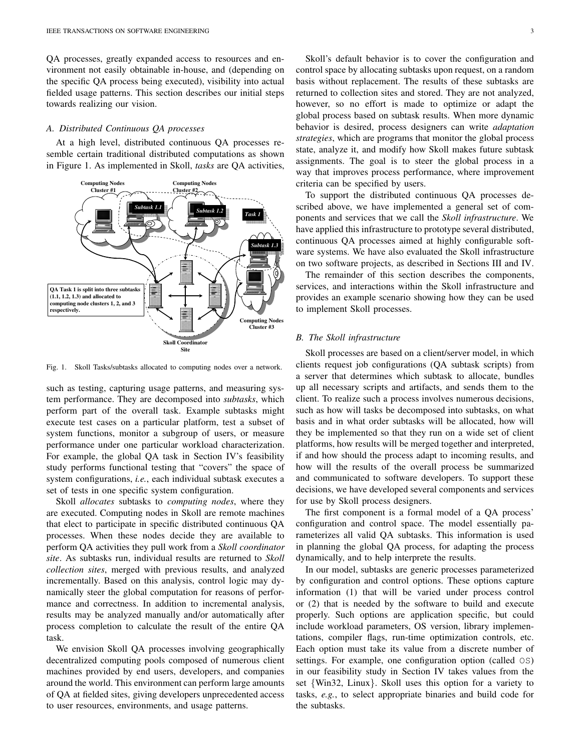QA processes, greatly expanded access to resources and environment not easily obtainable in-house, and (depending on the specific QA process being executed), visibility into actual fielded usage patterns. This section describes our initial steps towards realizing our vision.

# *A. Distributed Continuous QA processes*

At a high level, distributed continuous QA processes resemble certain traditional distributed computations as shown in Figure 1. As implemented in Skoll, *tasks* are QA activities,



Fig. 1. Skoll Tasks/subtasks allocated to computing nodes over a network.

such as testing, capturing usage patterns, and measuring system performance. They are decomposed into *subtasks*, which perform part of the overall task. Example subtasks might execute test cases on a particular platform, test a subset of system functions, monitor a subgroup of users, or measure performance under one particular workload characterization. For example, the global QA task in Section IV's feasibility study performs functional testing that "covers" the space of system configurations, *i.e.*, each individual subtask executes a set of tests in one specific system configuration.

Skoll *allocates* subtasks to *computing nodes*, where they are executed. Computing nodes in Skoll are remote machines that elect to participate in specific distributed continuous QA processes. When these nodes decide they are available to perform QA activities they pull work from a *Skoll coordinator site*. As subtasks run, individual results are returned to *Skoll collection sites*, merged with previous results, and analyzed incrementally. Based on this analysis, control logic may dynamically steer the global computation for reasons of performance and correctness. In addition to incremental analysis, results may be analyzed manually and/or automatically after process completion to calculate the result of the entire QA task.

We envision Skoll QA processes involving geographically decentralized computing pools composed of numerous client machines provided by end users, developers, and companies around the world. This environment can perform large amounts of QA at fielded sites, giving developers unprecedented access to user resources, environments, and usage patterns.

Skoll's default behavior is to cover the configuration and control space by allocating subtasks upon request, on a random basis without replacement. The results of these subtasks are returned to collection sites and stored. They are not analyzed, however, so no effort is made to optimize or adapt the global process based on subtask results. When more dynamic behavior is desired, process designers can write *adaptation strategies*, which are programs that monitor the global process state, analyze it, and modify how Skoll makes future subtask assignments. The goal is to steer the global process in a way that improves process performance, where improvement criteria can be specified by users.

To support the distributed continuous QA processes described above, we have implemented a general set of components and services that we call the *Skoll infrastructure*. We have applied this infrastructure to prototype several distributed, continuous QA processes aimed at highly configurable software systems. We have also evaluated the Skoll infrastructure on two software projects, as described in Sections III and IV.

The remainder of this section describes the components, services, and interactions within the Skoll infrastructure and provides an example scenario showing how they can be used to implement Skoll processes.

# *B. The Skoll infrastructure*

Skoll processes are based on a client/server model, in which clients request job configurations (QA subtask scripts) from a server that determines which subtask to allocate, bundles up all necessary scripts and artifacts, and sends them to the client. To realize such a process involves numerous decisions, such as how will tasks be decomposed into subtasks, on what basis and in what order subtasks will be allocated, how will they be implemented so that they run on a wide set of client platforms, how results will be merged together and interpreted, if and how should the process adapt to incoming results, and how will the results of the overall process be summarized and communicated to software developers. To support these decisions, we have developed several components and services for use by Skoll process designers.

The first component is a formal model of a QA process' configuration and control space. The model essentially parameterizes all valid QA subtasks. This information is used in planning the global QA process, for adapting the process dynamically, and to help interprete the results.

In our model, subtasks are generic processes parameterized by configuration and control options. These options capture information (1) that will be varied under process control or (2) that is needed by the software to build and execute properly. Such options are application specific, but could include workload parameters, OS version, library implementations, compiler flags, run-time optimization controls, etc. Each option must take its value from a discrete number of settings. For example, one configuration option (called OS) in our feasibility study in Section IV takes values from the set {Win32, Linux}. Skoll uses this option for a variety to tasks, *e.g.*, to select appropriate binaries and build code for the subtasks.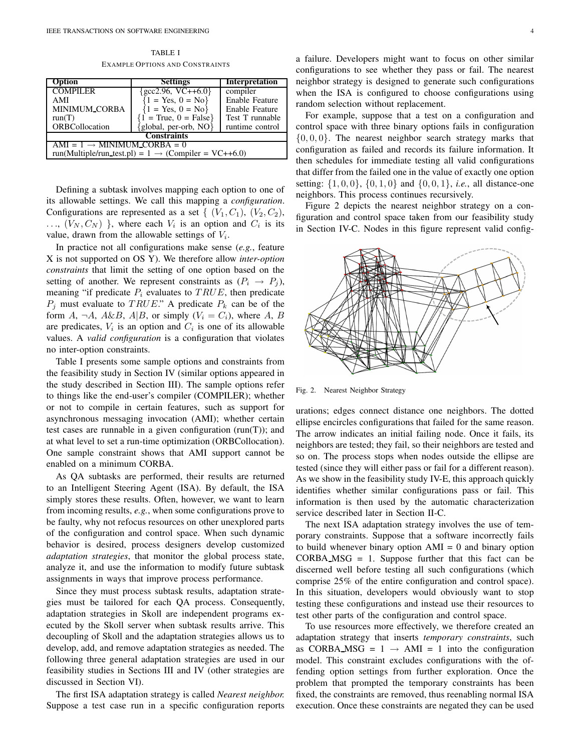TABLE I EXAMPLE OPTIONS AND CONSTRAINTS

| <b>Option</b>                                                    | <b>Settings</b>                                    | Interpretation        |  |
|------------------------------------------------------------------|----------------------------------------------------|-----------------------|--|
| <b>COMPILER</b>                                                  | $\{ \text{gcc} \overline{2.96}, \text{VC++6.0} \}$ | compiler              |  |
| AMI                                                              | ${1 = Yes, 0 = No}$                                | <b>Enable Feature</b> |  |
| <b>MINIMUM_CORBA</b>                                             | ${1 = Yes, 0 = No}$                                | <b>Enable Feature</b> |  |
| run(T)                                                           | ${1 = True, 0 = False}$                            | Test T runnable       |  |
| <b>ORBCollocation</b>                                            | {global, per-orb, NO}                              | runtime control       |  |
| <b>Constraints</b>                                               |                                                    |                       |  |
| AMI = $1 \rightarrow$ MINIMUM CORBA = 0                          |                                                    |                       |  |
| run(Multiple/run_test.pl) = 1 $\rightarrow$ (Compiler = VC++6.0) |                                                    |                       |  |

Defining a subtask involves mapping each option to one of its allowable settings. We call this mapping a *configuration*. Configurations are represented as a set  $\{ (V_1, C_1), (V_2, C_2),$  $..., (V_N, C_N)$  }, where each  $V_i$  is an option and  $C_i$  is its value, drawn from the allowable settings of  $V_i$ .

In practice not all configurations make sense (*e.g.*, feature X is not supported on OS Y). We therefore allow *inter-option constraints* that limit the setting of one option based on the setting of another. We represent constraints as  $(P_i \rightarrow P_j)$ , meaning "if predicate  $P_i$  evaluates to  $TRUE$ , then predicate  $P_i$  must evaluate to TRUE." A predicate  $P_k$  can be of the form A,  $\neg A$ ,  $A \& B$ ,  $A | B$ , or simply  $(V_i = C_i)$ , where A, B are predicates,  $V_i$  is an option and  $C_i$  is one of its allowable values. A *valid configuration* is a configuration that violates no inter-option constraints.

Table I presents some sample options and constraints from the feasibility study in Section IV (similar options appeared in the study described in Section III). The sample options refer to things like the end-user's compiler (COMPILER); whether or not to compile in certain features, such as support for asynchronous messaging invocation (AMI); whether certain test cases are runnable in a given configuration (run(T)); and at what level to set a run-time optimization (ORBCollocation). One sample constraint shows that AMI support cannot be enabled on a minimum CORBA.

As QA subtasks are performed, their results are returned to an Intelligent Steering Agent (ISA). By default, the ISA simply stores these results. Often, however, we want to learn from incoming results, *e.g.*, when some configurations prove to be faulty, why not refocus resources on other unexplored parts of the configuration and control space. When such dynamic behavior is desired, process designers develop customized *adaptation strategies*, that monitor the global process state, analyze it, and use the information to modify future subtask assignments in ways that improve process performance.

Since they must process subtask results, adaptation strategies must be tailored for each QA process. Consequently, adaptation strategies in Skoll are independent programs executed by the Skoll server when subtask results arrive. This decoupling of Skoll and the adaptation strategies allows us to develop, add, and remove adaptation strategies as needed. The following three general adaptation strategies are used in our feasibility studies in Sections III and IV (other strategies are discussed in Section VI).

The first ISA adaptation strategy is called *Nearest neighbor.* Suppose a test case run in a specific configuration reports a failure. Developers might want to focus on other similar configurations to see whether they pass or fail. The nearest neighbor strategy is designed to generate such configurations when the ISA is configured to choose configurations using random selection without replacement.

For example, suppose that a test on a configuration and control space with three binary options fails in configuration  $\{0, 0, 0\}$ . The nearest neighbor search strategy marks that configuration as failed and records its failure information. It then schedules for immediate testing all valid configurations that differ from the failed one in the value of exactly one option setting:  $\{1, 0, 0\}$ ,  $\{0, 1, 0\}$  and  $\{0, 0, 1\}$ , *i.e.*, all distance-one neighbors. This process continues recursively.

Figure 2 depicts the nearest neighbor strategy on a configuration and control space taken from our feasibility study in Section IV-C. Nodes in this figure represent valid config-



Fig. 2. Nearest Neighbor Strategy

urations; edges connect distance one neighbors. The dotted ellipse encircles configurations that failed for the same reason. The arrow indicates an initial failing node. Once it fails, its neighbors are tested; they fail, so their neighbors are tested and so on. The process stops when nodes outside the ellipse are tested (since they will either pass or fail for a different reason). As we show in the feasibility study IV-E, this approach quickly identifies whether similar configurations pass or fail. This information is then used by the automatic characterization service described later in Section II-C.

The next ISA adaptation strategy involves the use of temporary constraints. Suppose that a software incorrectly fails to build whenever binary option  $AMI = 0$  and binary option  $CORBA_MSG = 1$ . Suppose further that this fact can be discerned well before testing all such configurations (which comprise 25% of the entire configuration and control space). In this situation, developers would obviously want to stop testing these configurations and instead use their resources to test other parts of the configuration and control space.

To use resources more effectively, we therefore created an adaptation strategy that inserts *temporary constraints*, such as CORBA\_MSG =  $1 \rightarrow$  AMI = 1 into the configuration model. This constraint excludes configurations with the offending option settings from further exploration. Once the problem that prompted the temporary constraints has been fixed, the constraints are removed, thus reenabling normal ISA execution. Once these constraints are negated they can be used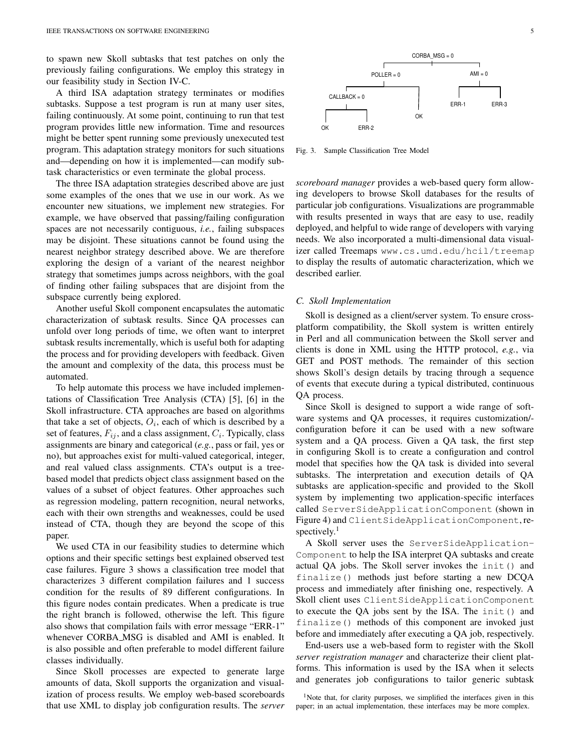to spawn new Skoll subtasks that test patches on only the previously failing configurations. We employ this strategy in our feasibility study in Section IV-C.

A third ISA adaptation strategy terminates or modifies subtasks. Suppose a test program is run at many user sites, failing continuously. At some point, continuing to run that test program provides little new information. Time and resources might be better spent running some previously unexecuted test program. This adaptation strategy monitors for such situations and—depending on how it is implemented—can modify subtask characteristics or even terminate the global process.

The three ISA adaptation strategies described above are just some examples of the ones that we use in our work. As we encounter new situations, we implement new strategies. For example, we have observed that passing/failing configuration spaces are not necessarily contiguous, *i.e.*, failing subspaces may be disjoint. These situations cannot be found using the nearest neighbor strategy described above. We are therefore exploring the design of a variant of the nearest neighbor strategy that sometimes jumps across neighbors, with the goal of finding other failing subspaces that are disjoint from the subspace currently being explored.

Another useful Skoll component encapsulates the automatic characterization of subtask results. Since QA processes can unfold over long periods of time, we often want to interpret subtask results incrementally, which is useful both for adapting the process and for providing developers with feedback. Given the amount and complexity of the data, this process must be automated.

To help automate this process we have included implementations of Classification Tree Analysis (CTA) [5], [6] in the Skoll infrastructure. CTA approaches are based on algorithms that take a set of objects,  $O_i$ , each of which is described by a set of features,  $F_{ij}$ , and a class assignment,  $C_i$ . Typically, class assignments are binary and categorical (*e.g.*, pass or fail, yes or no), but approaches exist for multi-valued categorical, integer, and real valued class assignments. CTA's output is a treebased model that predicts object class assignment based on the values of a subset of object features. Other approaches such as regression modeling, pattern recognition, neural networks, each with their own strengths and weaknesses, could be used instead of CTA, though they are beyond the scope of this paper.

We used CTA in our feasibility studies to determine which options and their specific settings best explained observed test case failures. Figure 3 shows a classification tree model that characterizes 3 different compilation failures and 1 success condition for the results of 89 different configurations. In this figure nodes contain predicates. When a predicate is true the right branch is followed, otherwise the left. This figure also shows that compilation fails with error message "ERR-1" whenever CORBA MSG is disabled and AMI is enabled. It is also possible and often preferable to model different failure classes individually.

Since Skoll processes are expected to generate large amounts of data, Skoll supports the organization and visualization of process results. We employ web-based scoreboards that use XML to display job configuration results. The *server*



Fig. 3. Sample Classification Tree Model

*scoreboard manager* provides a web-based query form allowing developers to browse Skoll databases for the results of particular job configurations. Visualizations are programmable with results presented in ways that are easy to use, readily deployed, and helpful to wide range of developers with varying needs. We also incorporated a multi-dimensional data visualizer called Treemaps www.cs.umd.edu/hcil/treemap to display the results of automatic characterization, which we described earlier.

#### *C. Skoll Implementation*

Skoll is designed as a client/server system. To ensure crossplatform compatibility, the Skoll system is written entirely in Perl and all communication between the Skoll server and clients is done in XML using the HTTP protocol, *e.g.*, via GET and POST methods. The remainder of this section shows Skoll's design details by tracing through a sequence of events that execute during a typical distributed, continuous QA process.

Since Skoll is designed to support a wide range of software systems and QA processes, it requires customization/ configuration before it can be used with a new software system and a QA process. Given a QA task, the first step in configuring Skoll is to create a configuration and control model that specifies how the QA task is divided into several subtasks. The interpretation and execution details of QA subtasks are application-specific and provided to the Skoll system by implementing two application-specific interfaces called ServerSideApplicationComponent (shown in Figure 4) and ClientSideApplicationComponent, respectively.<sup>1</sup>

A Skoll server uses the ServerSideApplication-Component to help the ISA interpret QA subtasks and create actual QA jobs. The Skoll server invokes the init() and finalize() methods just before starting a new DCQA process and immediately after finishing one, respectively. A Skoll client uses ClientSideApplicationComponent to execute the QA jobs sent by the ISA. The init() and finalize() methods of this component are invoked just before and immediately after executing a QA job, respectively.

End-users use a web-based form to register with the Skoll *server registration manager* and characterize their client platforms. This information is used by the ISA when it selects and generates job configurations to tailor generic subtask

<sup>&</sup>lt;sup>1</sup>Note that, for clarity purposes, we simplified the interfaces given in this paper; in an actual implementation, these interfaces may be more complex.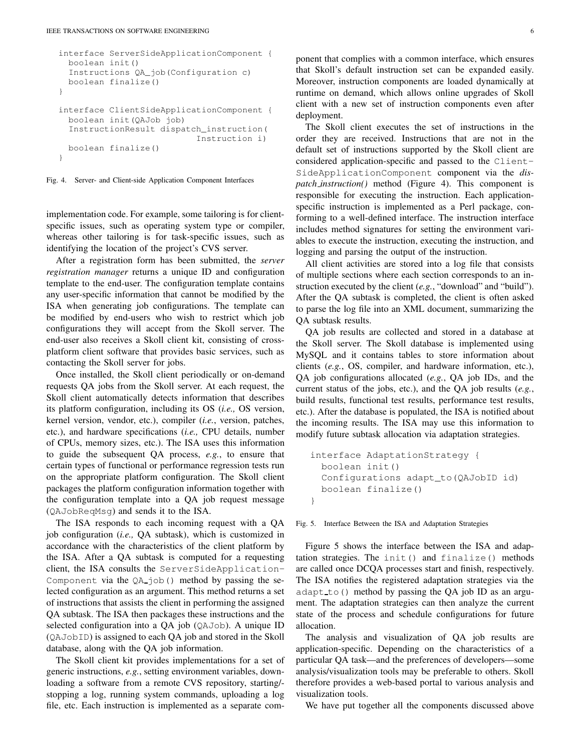```
interface ServerSideApplicationComponent {
  boolean init()
  Instructions QA_job(Configuration c)
 boolean finalize()
}
interface ClientSideApplicationComponent {
  boolean init(QAJob job)
  InstructionResult dispatch_instruction(
                            Instruction i)
 boolean finalize()
}
```
Fig. 4. Server- and Client-side Application Component Interfaces

implementation code. For example, some tailoring is for clientspecific issues, such as operating system type or compiler, whereas other tailoring is for task-specific issues, such as identifying the location of the project's CVS server.

After a registration form has been submitted, the *server registration manager* returns a unique ID and configuration template to the end-user. The configuration template contains any user-specific information that cannot be modified by the ISA when generating job configurations. The template can be modified by end-users who wish to restrict which job configurations they will accept from the Skoll server. The end-user also receives a Skoll client kit, consisting of crossplatform client software that provides basic services, such as contacting the Skoll server for jobs.

Once installed, the Skoll client periodically or on-demand requests QA jobs from the Skoll server. At each request, the Skoll client automatically detects information that describes its platform configuration, including its OS (*i.e.,* OS version, kernel version, vendor, etc.), compiler (*i.e.*, version, patches, etc.), and hardware specifications (*i.e.,* CPU details, number of CPUs, memory sizes, etc.). The ISA uses this information to guide the subsequent QA process, *e.g.*, to ensure that certain types of functional or performance regression tests run on the appropriate platform configuration. The Skoll client packages the platform configuration information together with the configuration template into a QA job request message (QAJobReqMsg) and sends it to the ISA.

The ISA responds to each incoming request with a QA job configuration (*i.e.,* QA subtask), which is customized in accordance with the characteristics of the client platform by the ISA. After a QA subtask is computed for a requesting client, the ISA consults the ServerSideApplication-Component via the QA job() method by passing the selected configuration as an argument. This method returns a set of instructions that assists the client in performing the assigned QA subtask. The ISA then packages these instructions and the selected configuration into a QA job (QAJob). A unique ID (QAJobID) is assigned to each QA job and stored in the Skoll database, along with the QA job information.

The Skoll client kit provides implementations for a set of generic instructions, *e.g.*, setting environment variables, downloading a software from a remote CVS repository, starting/ stopping a log, running system commands, uploading a log file, etc. Each instruction is implemented as a separate component that complies with a common interface, which ensures that Skoll's default instruction set can be expanded easily. Moreover, instruction components are loaded dynamically at runtime on demand, which allows online upgrades of Skoll client with a new set of instruction components even after deployment.

The Skoll client executes the set of instructions in the order they are received. Instructions that are not in the default set of instructions supported by the Skoll client are considered application-specific and passed to the Client-SideApplicationComponent component via the *dispatch instruction()* method (Figure 4). This component is responsible for executing the instruction. Each applicationspecific instruction is implemented as a Perl package, conforming to a well-defined interface. The instruction interface includes method signatures for setting the environment variables to execute the instruction, executing the instruction, and logging and parsing the output of the instruction.

All client activities are stored into a log file that consists of multiple sections where each section corresponds to an instruction executed by the client (*e.g.*, "download" and "build"). After the QA subtask is completed, the client is often asked to parse the log file into an XML document, summarizing the QA subtask results.

QA job results are collected and stored in a database at the Skoll server. The Skoll database is implemented using MySQL and it contains tables to store information about clients (*e.g.*, OS, compiler, and hardware information, etc.), QA job configurations allocated (*e.g.*, QA job IDs, and the current status of the jobs, etc.), and the QA job results (*e.g.*, build results, functional test results, performance test results, etc.). After the database is populated, the ISA is notified about the incoming results. The ISA may use this information to modify future subtask allocation via adaptation strategies.

```
interface AdaptationStrategy {
  boolean init()
  Configurations adapt_to(QAJobID id)
  boolean finalize()
}
```
Fig. 5. Interface Between the ISA and Adaptation Strategies

Figure 5 shows the interface between the ISA and adaptation strategies. The init() and finalize() methods are called once DCQA processes start and finish, respectively. The ISA notifies the registered adaptation strategies via the adapt to() method by passing the QA job ID as an argument. The adaptation strategies can then analyze the current state of the process and schedule configurations for future allocation.

The analysis and visualization of QA job results are application-specific. Depending on the characteristics of a particular QA task—and the preferences of developers—some analysis/visualization tools may be preferable to others. Skoll therefore provides a web-based portal to various analysis and visualization tools.

We have put together all the components discussed above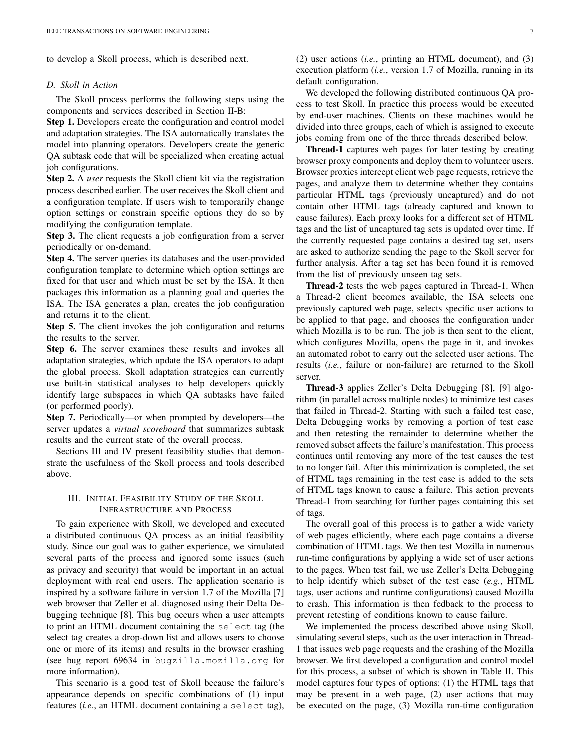to develop a Skoll process, which is described next.

## *D. Skoll in Action*

The Skoll process performs the following steps using the components and services described in Section II-B:

**Step 1.** Developers create the configuration and control model and adaptation strategies. The ISA automatically translates the model into planning operators. Developers create the generic QA subtask code that will be specialized when creating actual job configurations.

**Step 2.** A *user* requests the Skoll client kit via the registration process described earlier. The user receives the Skoll client and a configuration template. If users wish to temporarily change option settings or constrain specific options they do so by modifying the configuration template.

**Step 3.** The client requests a job configuration from a server periodically or on-demand.

**Step 4.** The server queries its databases and the user-provided configuration template to determine which option settings are fixed for that user and which must be set by the ISA. It then packages this information as a planning goal and queries the ISA. The ISA generates a plan, creates the job configuration and returns it to the client.

**Step 5.** The client invokes the job configuration and returns the results to the server.

**Step 6.** The server examines these results and invokes all adaptation strategies, which update the ISA operators to adapt the global process. Skoll adaptation strategies can currently use built-in statistical analyses to help developers quickly identify large subspaces in which QA subtasks have failed (or performed poorly).

**Step 7.** Periodically—or when prompted by developers—the server updates a *virtual scoreboard* that summarizes subtask results and the current state of the overall process.

Sections III and IV present feasibility studies that demonstrate the usefulness of the Skoll process and tools described above.

## III. INITIAL FEASIBILITY STUDY OF THE SKOLL INFRASTRUCTURE AND PROCESS

To gain experience with Skoll, we developed and executed a distributed continuous QA process as an initial feasibility study. Since our goal was to gather experience, we simulated several parts of the process and ignored some issues (such as privacy and security) that would be important in an actual deployment with real end users. The application scenario is inspired by a software failure in version 1.7 of the Mozilla [7] web browser that Zeller et al. diagnosed using their Delta Debugging technique [8]. This bug occurs when a user attempts to print an HTML document containing the select tag (the select tag creates a drop-down list and allows users to choose one or more of its items) and results in the browser crashing (see bug report 69634 in bugzilla.mozilla.org for more information).

This scenario is a good test of Skoll because the failure's appearance depends on specific combinations of (1) input features (*i.e.*, an HTML document containing a select tag), (2) user actions (*i.e.*, printing an HTML document), and (3) execution platform (*i.e.*, version 1.7 of Mozilla, running in its default configuration.

We developed the following distributed continuous QA process to test Skoll. In practice this process would be executed by end-user machines. Clients on these machines would be divided into three groups, each of which is assigned to execute jobs coming from one of the three threads described below.

**Thread-1** captures web pages for later testing by creating browser proxy components and deploy them to volunteer users. Browser proxies intercept client web page requests, retrieve the pages, and analyze them to determine whether they contains particular HTML tags (previously uncaptured) and do not contain other HTML tags (already captured and known to cause failures). Each proxy looks for a different set of HTML tags and the list of uncaptured tag sets is updated over time. If the currently requested page contains a desired tag set, users are asked to authorize sending the page to the Skoll server for further analysis. After a tag set has been found it is removed from the list of previously unseen tag sets.

**Thread-2** tests the web pages captured in Thread-1. When a Thread-2 client becomes available, the ISA selects one previously captured web page, selects specific user actions to be applied to that page, and chooses the configuration under which Mozilla is to be run. The job is then sent to the client, which configures Mozilla, opens the page in it, and invokes an automated robot to carry out the selected user actions. The results (*i.e.*, failure or non-failure) are returned to the Skoll server.

**Thread-3** applies Zeller's Delta Debugging [8], [9] algorithm (in parallel across multiple nodes) to minimize test cases that failed in Thread-2. Starting with such a failed test case, Delta Debugging works by removing a portion of test case and then retesting the remainder to determine whether the removed subset affects the failure's manifestation. This process continues until removing any more of the test causes the test to no longer fail. After this minimization is completed, the set of HTML tags remaining in the test case is added to the sets of HTML tags known to cause a failure. This action prevents Thread-1 from searching for further pages containing this set of tags.

The overall goal of this process is to gather a wide variety of web pages efficiently, where each page contains a diverse combination of HTML tags. We then test Mozilla in numerous run-time configurations by applying a wide set of user actions to the pages. When test fail, we use Zeller's Delta Debugging to help identify which subset of the test case (*e.g.*, HTML tags, user actions and runtime configurations) caused Mozilla to crash. This information is then fedback to the process to prevent retesting of conditions known to cause failure.

We implemented the process described above using Skoll, simulating several steps, such as the user interaction in Thread-1 that issues web page requests and the crashing of the Mozilla browser. We first developed a configuration and control model for this process, a subset of which is shown in Table II. This model captures four types of options: (1) the HTML tags that may be present in a web page, (2) user actions that may be executed on the page, (3) Mozilla run-time configuration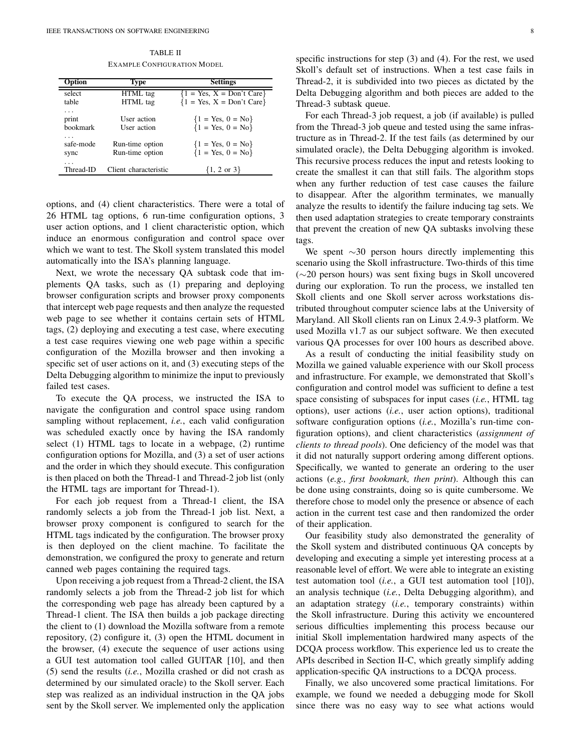TABLE II EXAMPLE CONFIGURATION MODEL

| Option                        | Type                               | <b>Settings</b>                                            |
|-------------------------------|------------------------------------|------------------------------------------------------------|
| select<br>table               | HTML tag<br>HTML tag               | ${1 = Yes, X = Don't Care}$<br>${1 = Yes, X = Don't Care}$ |
| .<br>print<br><b>bookmark</b> | User action<br>User action         | ${1 = Yes, 0 = No}$<br>${1 = Yes, 0 = No}$                 |
| safe-mode<br>sync             | Run-time option<br>Run-time option | ${1 = Yes, 0 = No}$<br>${1 = Yes, 0 = No}$                 |
| Thread-ID                     | Client characteristic              | $\{1, 2 \text{ or } 3\}$                                   |

options, and (4) client characteristics. There were a total of 26 HTML tag options, 6 run-time configuration options, 3 user action options, and 1 client characteristic option, which induce an enormous configuration and control space over which we want to test. The Skoll system translated this model automatically into the ISA's planning language.

Next, we wrote the necessary QA subtask code that implements QA tasks, such as (1) preparing and deploying browser configuration scripts and browser proxy components that intercept web page requests and then analyze the requested web page to see whether it contains certain sets of HTML tags, (2) deploying and executing a test case, where executing a test case requires viewing one web page within a specific configuration of the Mozilla browser and then invoking a specific set of user actions on it, and (3) executing steps of the Delta Debugging algorithm to minimize the input to previously failed test cases.

To execute the QA process, we instructed the ISA to navigate the configuration and control space using random sampling without replacement, *i.e.*, each valid configuration was scheduled exactly once by having the ISA randomly select (1) HTML tags to locate in a webpage, (2) runtime configuration options for Mozilla, and (3) a set of user actions and the order in which they should execute. This configuration is then placed on both the Thread-1 and Thread-2 job list (only the HTML tags are important for Thread-1).

For each job request from a Thread-1 client, the ISA randomly selects a job from the Thread-1 job list. Next, a browser proxy component is configured to search for the HTML tags indicated by the configuration. The browser proxy is then deployed on the client machine. To facilitate the demonstration, we configured the proxy to generate and return canned web pages containing the required tags.

Upon receiving a job request from a Thread-2 client, the ISA randomly selects a job from the Thread-2 job list for which the corresponding web page has already been captured by a Thread-1 client. The ISA then builds a job package directing the client to (1) download the Mozilla software from a remote repository, (2) configure it, (3) open the HTML document in the browser, (4) execute the sequence of user actions using a GUI test automation tool called GUITAR [10], and then (5) send the results (*i.e.*, Mozilla crashed or did not crash as determined by our simulated oracle) to the Skoll server. Each step was realized as an individual instruction in the QA jobs sent by the Skoll server. We implemented only the application

specific instructions for step (3) and (4). For the rest, we used Skoll's default set of instructions. When a test case fails in Thread-2, it is subdivided into two pieces as dictated by the Delta Debugging algorithm and both pieces are added to the Thread-3 subtask queue.

For each Thread-3 job request, a job (if available) is pulled from the Thread-3 job queue and tested using the same infrastructure as in Thread-2. If the test fails (as determined by our simulated oracle), the Delta Debugging algorithm is invoked. This recursive process reduces the input and retests looking to create the smallest it can that still fails. The algorithm stops when any further reduction of test case causes the failure to disappear. After the algorithm terminates, we manually analyze the results to identify the failure inducing tag sets. We then used adaptation strategies to create temporary constraints that prevent the creation of new QA subtasks involving these tags.

We spent ∼30 person hours directly implementing this scenario using the Skoll infrastructure. Two-thirds of this time (∼20 person hours) was sent fixing bugs in Skoll uncovered during our exploration. To run the process, we installed ten Skoll clients and one Skoll server across workstations distributed throughout computer science labs at the University of Maryland. All Skoll clients ran on Linux 2.4.9-3 platform. We used Mozilla v1.7 as our subject software. We then executed various QA processes for over 100 hours as described above.

As a result of conducting the initial feasibility study on Mozilla we gained valuable experience with our Skoll process and infrastructure. For example, we demonstrated that Skoll's configuration and control model was sufficient to define a test space consisting of subspaces for input cases (*i.e.*, HTML tag options), user actions (*i.e.*, user action options), traditional software configuration options (*i.e.*, Mozilla's run-time configuration options), and client characteristics (*assignment of clients to thread pools*). One deficiency of the model was that it did not naturally support ordering among different options. Specifically, we wanted to generate an ordering to the user actions (*e.g., first bookmark, then print*). Although this can be done using constraints, doing so is quite cumbersome. We therefore chose to model only the presence or absence of each action in the current test case and then randomized the order of their application.

Our feasibility study also demonstrated the generality of the Skoll system and distributed continuous QA concepts by developing and executing a simple yet interesting process at a reasonable level of effort. We were able to integrate an existing test automation tool (*i.e.*, a GUI test automation tool [10]), an analysis technique (*i.e.*, Delta Debugging algorithm), and an adaptation strategy (*i.e.*, temporary constraints) within the Skoll infrastructure. During this activity we encountered serious difficulties implementing this process because our initial Skoll implementation hardwired many aspects of the DCQA process workflow. This experience led us to create the APIs described in Section II-C, which greatly simplify adding application-specific QA instructions to a DCQA process.

Finally, we also uncovered some practical limitations. For example, we found we needed a debugging mode for Skoll since there was no easy way to see what actions would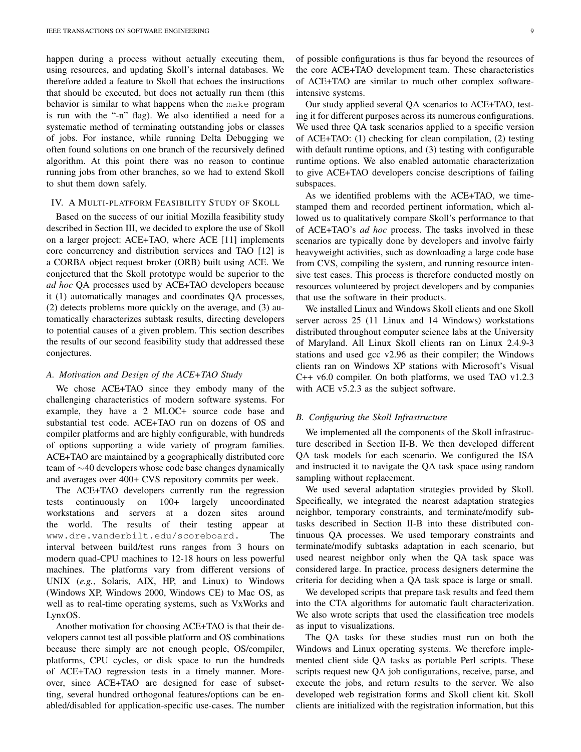happen during a process without actually executing them, using resources, and updating Skoll's internal databases. We therefore added a feature to Skoll that echoes the instructions that should be executed, but does not actually run them (this behavior is similar to what happens when the make program is run with the "-n" flag). We also identified a need for a systematic method of terminating outstanding jobs or classes of jobs. For instance, while running Delta Debugging we often found solutions on one branch of the recursively defined algorithm. At this point there was no reason to continue running jobs from other branches, so we had to extend Skoll to shut them down safely.

## IV. A MULTI-PLATFORM FEASIBILITY STUDY OF SKOLL

Based on the success of our initial Mozilla feasibility study described in Section III, we decided to explore the use of Skoll on a larger project: ACE+TAO, where ACE [11] implements core concurrency and distribution services and TAO [12] is a CORBA object request broker (ORB) built using ACE. We conjectured that the Skoll prototype would be superior to the *ad hoc* QA processes used by ACE+TAO developers because it (1) automatically manages and coordinates QA processes, (2) detects problems more quickly on the average, and (3) automatically characterizes subtask results, directing developers to potential causes of a given problem. This section describes the results of our second feasibility study that addressed these conjectures.

## *A. Motivation and Design of the ACE+TAO Study*

We chose ACE+TAO since they embody many of the challenging characteristics of modern software systems. For example, they have a 2 MLOC+ source code base and substantial test code. ACE+TAO run on dozens of OS and compiler platforms and are highly configurable, with hundreds of options supporting a wide variety of program families. ACE+TAO are maintained by a geographically distributed core team of ∼40 developers whose code base changes dynamically and averages over 400+ CVS repository commits per week.

The ACE+TAO developers currently run the regression tests continuously on 100+ largely uncoordinated workstations and servers at a dozen sites around the world. The results of their testing appear at www.dre.vanderbilt.edu/scoreboard. The interval between build/test runs ranges from 3 hours on modern quad-CPU machines to 12-18 hours on less powerful machines. The platforms vary from different versions of UNIX (*e.g.*, Solaris, AIX, HP, and Linux) to Windows (Windows XP, Windows 2000, Windows CE) to Mac OS, as well as to real-time operating systems, such as VxWorks and LynxOS.

Another motivation for choosing ACE+TAO is that their developers cannot test all possible platform and OS combinations because there simply are not enough people, OS/compiler, platforms, CPU cycles, or disk space to run the hundreds of ACE+TAO regression tests in a timely manner. Moreover, since ACE+TAO are designed for ease of subsetting, several hundred orthogonal features/options can be enabled/disabled for application-specific use-cases. The number of possible configurations is thus far beyond the resources of the core ACE+TAO development team. These characteristics of ACE+TAO are similar to much other complex softwareintensive systems.

Our study applied several QA scenarios to ACE+TAO, testing it for different purposes across its numerous configurations. We used three QA task scenarios applied to a specific version of ACE+TAO: (1) checking for clean compilation, (2) testing with default runtime options, and (3) testing with configurable runtime options. We also enabled automatic characterization to give ACE+TAO developers concise descriptions of failing subspaces.

As we identified problems with the ACE+TAO, we timestamped them and recorded pertinent information, which allowed us to qualitatively compare Skoll's performance to that of ACE+TAO's *ad hoc* process. The tasks involved in these scenarios are typically done by developers and involve fairly heavyweight activities, such as downloading a large code base from CVS, compiling the system, and running resource intensive test cases. This process is therefore conducted mostly on resources volunteered by project developers and by companies that use the software in their products.

We installed Linux and Windows Skoll clients and one Skoll server across 25 (11 Linux and 14 Windows) workstations distributed throughout computer science labs at the University of Maryland. All Linux Skoll clients ran on Linux 2.4.9-3 stations and used gcc v2.96 as their compiler; the Windows clients ran on Windows XP stations with Microsoft's Visual C++ v6.0 compiler. On both platforms, we used TAO v1.2.3 with ACE v5.2.3 as the subject software.

## *B. Configuring the Skoll Infrastructure*

We implemented all the components of the Skoll infrastructure described in Section II-B. We then developed different QA task models for each scenario. We configured the ISA and instructed it to navigate the QA task space using random sampling without replacement.

We used several adaptation strategies provided by Skoll. Specifically, we integrated the nearest adaptation strategies neighbor, temporary constraints, and terminate/modify subtasks described in Section II-B into these distributed continuous QA processes. We used temporary constraints and terminate/modify subtasks adaptation in each scenario, but used nearest neighbor only when the QA task space was considered large. In practice, process designers determine the criteria for deciding when a QA task space is large or small.

We developed scripts that prepare task results and feed them into the CTA algorithms for automatic fault characterization. We also wrote scripts that used the classification tree models as input to visualizations.

The QA tasks for these studies must run on both the Windows and Linux operating systems. We therefore implemented client side QA tasks as portable Perl scripts. These scripts request new QA job configurations, receive, parse, and execute the jobs, and return results to the server. We also developed web registration forms and Skoll client kit. Skoll clients are initialized with the registration information, but this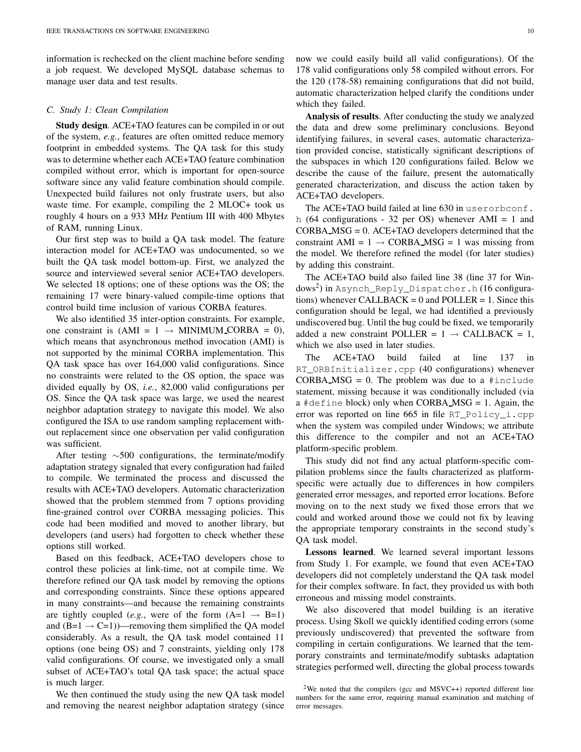information is rechecked on the client machine before sending a job request. We developed MySQL database schemas to manage user data and test results.

# *C. Study 1: Clean Compilation*

**Study design**. ACE+TAO features can be compiled in or out of the system, *e.g.*, features are often omitted reduce memory footprint in embedded systems. The QA task for this study was to determine whether each ACE+TAO feature combination compiled without error, which is important for open-source software since any valid feature combination should compile. Unexpected build failures not only frustrate users, but also waste time. For example, compiling the 2 MLOC+ took us roughly 4 hours on a 933 MHz Pentium III with 400 Mbytes of RAM, running Linux.

Our first step was to build a QA task model. The feature interaction model for ACE+TAO was undocumented, so we built the QA task model bottom-up. First, we analyzed the source and interviewed several senior ACE+TAO developers. We selected 18 options; one of these options was the OS; the remaining 17 were binary-valued compile-time options that control build time inclusion of various CORBA features.

We also identified 35 inter-option constraints. For example, one constraint is  $(AMI = 1 \rightarrow MINIMUM CORBA = 0)$ , which means that asynchronous method invocation (AMI) is not supported by the minimal CORBA implementation. This QA task space has over 164,000 valid configurations. Since no constraints were related to the OS option, the space was divided equally by OS, *i.e.*, 82,000 valid configurations per OS. Since the QA task space was large, we used the nearest neighbor adaptation strategy to navigate this model. We also configured the ISA to use random sampling replacement without replacement since one observation per valid configuration was sufficient.

After testing  $\sim$ 500 configurations, the terminate/modify adaptation strategy signaled that every configuration had failed to compile. We terminated the process and discussed the results with ACE+TAO developers. Automatic characterization showed that the problem stemmed from 7 options providing fine-grained control over CORBA messaging policies. This code had been modified and moved to another library, but developers (and users) had forgotten to check whether these options still worked.

Based on this feedback, ACE+TAO developers chose to control these policies at link-time, not at compile time. We therefore refined our QA task model by removing the options and corresponding constraints. Since these options appeared in many constraints—and because the remaining constraints are tightly coupled (*e.g.*, were of the form  $(A=1 \rightarrow B=1)$ ) and  $(B=1 \rightarrow C=1)$ )—removing them simplified the QA model considerably. As a result, the QA task model contained 11 options (one being OS) and 7 constraints, yielding only 178 valid configurations. Of course, we investigated only a small subset of ACE+TAO's total QA task space; the actual space is much larger.

We then continued the study using the new QA task model and removing the nearest neighbor adaptation strategy (since

**Analysis of results**. After conducting the study we analyzed the data and drew some preliminary conclusions. Beyond identifying failures, in several cases, automatic characterization provided concise, statistically significant descriptions of the subspaces in which 120 configurations failed. Below we describe the cause of the failure, present the automatically generated characterization, and discuss the action taken by ACE+TAO developers.

The ACE+TAO build failed at line 630 in userorbconf. h (64 configurations - 32 per OS) whenever AMI = 1 and  $CORBA_MSG = 0$ .  $ACE+TAO$  developers determined that the constraint AMI =  $1 \rightarrow \text{CORBA}_2$  MSG = 1 was missing from the model. We therefore refined the model (for later studies) by adding this constraint.

The ACE+TAO build also failed line 38 (line 37 for Windows<sup>2</sup> ) in Asynch\_Reply\_Dispatcher.h (16 configurations) whenever CALLBACK =  $0$  and POLLER =  $1$ . Since this configuration should be legal, we had identified a previously undiscovered bug. Until the bug could be fixed, we temporarily added a new constraint POLLER =  $1 \rightarrow$  CALLBACK = 1, which we also used in later studies.

The ACE+TAO build failed at line 137 in RT\_ORBInitializer.cpp (40 configurations) whenever CORBA  $MSG = 0$ . The problem was due to a #include statement, missing because it was conditionally included (via a #define block) only when CORBA  $MSG = 1$ . Again, the error was reported on line 665 in file RT\_Policy\_i.cpp when the system was compiled under Windows; we attribute this difference to the compiler and not an ACE+TAO platform-specific problem.

This study did not find any actual platform-specific compilation problems since the faults characterized as platformspecific were actually due to differences in how compilers generated error messages, and reported error locations. Before moving on to the next study we fixed those errors that we could and worked around those we could not fix by leaving the appropriate temporary constraints in the second study's QA task model.

**Lessons learned**. We learned several important lessons from Study 1. For example, we found that even ACE+TAO developers did not completely understand the QA task model for their complex software. In fact, they provided us with both erroneous and missing model constraints.

We also discovered that model building is an iterative process. Using Skoll we quickly identified coding errors (some previously undiscovered) that prevented the software from compiling in certain configurations. We learned that the temporary constraints and terminate/modify subtasks adaptation strategies performed well, directing the global process towards

<sup>&</sup>lt;sup>2</sup>We noted that the compilers (gcc and MSVC++) reported different line numbers for the same error, requiring manual examination and matching of error messages.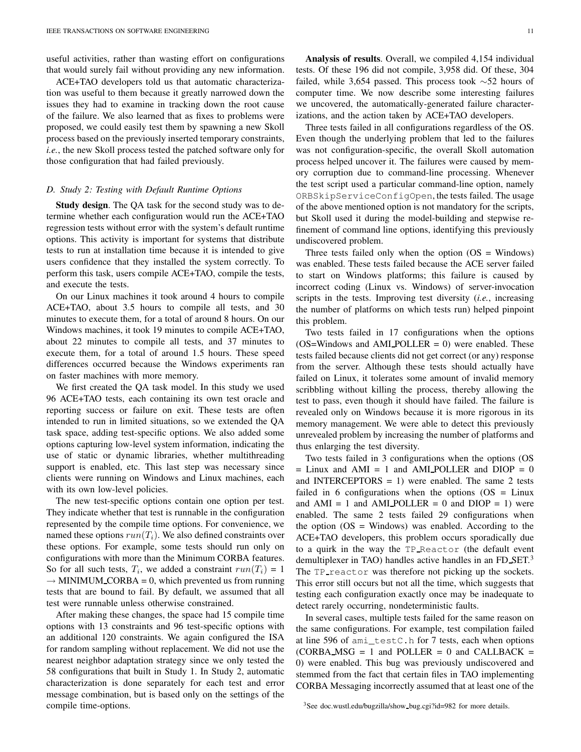useful activities, rather than wasting effort on configurations that would surely fail without providing any new information.

ACE+TAO developers told us that automatic characterization was useful to them because it greatly narrowed down the issues they had to examine in tracking down the root cause of the failure. We also learned that as fixes to problems were proposed, we could easily test them by spawning a new Skoll process based on the previously inserted temporary constraints, *i.e.*, the new Skoll process tested the patched software only for those configuration that had failed previously.

#### *D. Study 2: Testing with Default Runtime Options*

**Study design**. The QA task for the second study was to determine whether each configuration would run the ACE+TAO regression tests without error with the system's default runtime options. This activity is important for systems that distribute tests to run at installation time because it is intended to give users confidence that they installed the system correctly. To perform this task, users compile ACE+TAO, compile the tests, and execute the tests.

On our Linux machines it took around 4 hours to compile ACE+TAO, about 3.5 hours to compile all tests, and 30 minutes to execute them, for a total of around 8 hours. On our Windows machines, it took 19 minutes to compile ACE+TAO, about 22 minutes to compile all tests, and 37 minutes to execute them, for a total of around 1.5 hours. These speed differences occurred because the Windows experiments ran on faster machines with more memory.

We first created the QA task model. In this study we used 96 ACE+TAO tests, each containing its own test oracle and reporting success or failure on exit. These tests are often intended to run in limited situations, so we extended the QA task space, adding test-specific options. We also added some options capturing low-level system information, indicating the use of static or dynamic libraries, whether multithreading support is enabled, etc. This last step was necessary since clients were running on Windows and Linux machines, each with its own low-level policies.

The new test-specific options contain one option per test. They indicate whether that test is runnable in the configuration represented by the compile time options. For convenience, we named these options  $run(T_i)$ . We also defined constraints over these options. For example, some tests should run only on configurations with more than the Minimum CORBA features. So for all such tests,  $T_i$ , we added a constraint  $run(T_i) = 1$  $\rightarrow$  MINIMUM CORBA = 0, which prevented us from running tests that are bound to fail. By default, we assumed that all test were runnable unless otherwise constrained.

After making these changes, the space had 15 compile time options with 13 constraints and 96 test-specific options with an additional 120 constraints. We again configured the ISA for random sampling without replacement. We did not use the nearest neighbor adaptation strategy since we only tested the 58 configurations that built in Study 1. In Study 2, automatic characterization is done separately for each test and error message combination, but is based only on the settings of the compile time-options.

**Analysis of results**. Overall, we compiled 4,154 individual tests. Of these 196 did not compile, 3,958 did. Of these, 304 failed, while 3,654 passed. This process took ∼52 hours of computer time. We now describe some interesting failures we uncovered, the automatically-generated failure characterizations, and the action taken by ACE+TAO developers.

Three tests failed in all configurations regardless of the OS. Even though the underlying problem that led to the failures was not configuration-specific, the overall Skoll automation process helped uncover it. The failures were caused by memory corruption due to command-line processing. Whenever the test script used a particular command-line option, namely ORBSkipServiceConfigOpen, the tests failed. The usage of the above mentioned option is not mandatory for the scripts, but Skoll used it during the model-building and stepwise refinement of command line options, identifying this previously undiscovered problem.

Three tests failed only when the option  $OS = Windows$ was enabled. These tests failed because the ACE server failed to start on Windows platforms; this failure is caused by incorrect coding (Linux vs. Windows) of server-invocation scripts in the tests. Improving test diversity (*i.e.*, increasing the number of platforms on which tests run) helped pinpoint this problem.

Two tests failed in 17 configurations when the options  $(OS=Windows and AMI_POLLER = 0)$  were enabled. These tests failed because clients did not get correct (or any) response from the server. Although these tests should actually have failed on Linux, it tolerates some amount of invalid memory scribbling without killing the process, thereby allowing the test to pass, even though it should have failed. The failure is revealed only on Windows because it is more rigorous in its memory management. We were able to detect this previously unrevealed problem by increasing the number of platforms and thus enlarging the test diversity.

Two tests failed in 3 configurations when the options (OS  $=$  Linux and AMI  $=$  1 and AMI POLLER and DIOP  $=$  0 and INTERCEPTORS = 1) were enabled. The same 2 tests failed in 6 configurations when the options  $OS = Linux$ and  $AMI = 1$  and  $AMI$ -POLLER = 0 and  $DIOP = 1$ ) were enabled. The same 2 tests failed 29 configurations when the option  $(OS = Windows)$  was enabled. According to the ACE+TAO developers, this problem occurs sporadically due to a quirk in the way the TP Reactor (the default event demultiplexer in TAO) handles active handles in an FD SET.<sup>3</sup> The TP reactor was therefore not picking up the sockets. This error still occurs but not all the time, which suggests that testing each configuration exactly once may be inadequate to detect rarely occurring, nondeterministic faults.

In several cases, multiple tests failed for the same reason on the same configurations. For example, test compilation failed at line 596 of ami\_testC.h for 7 tests, each when options  $(CORBA_MSG = 1$  and POLLER = 0 and CALLBACK = 0) were enabled. This bug was previously undiscovered and stemmed from the fact that certain files in TAO implementing CORBA Messaging incorrectly assumed that at least one of the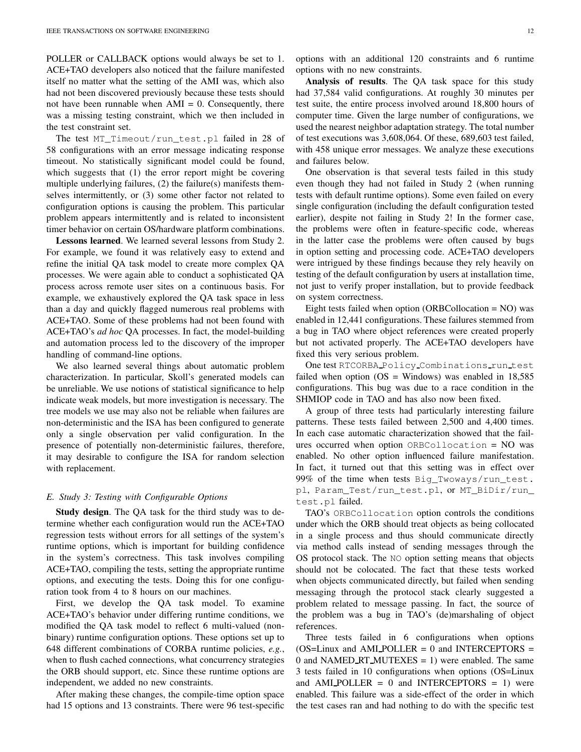POLLER or CALLBACK options would always be set to 1. ACE+TAO developers also noticed that the failure manifested itself no matter what the setting of the AMI was, which also had not been discovered previously because these tests should not have been runnable when  $AMI = 0$ . Consequently, there was a missing testing constraint, which we then included in the test constraint set.

The test MT\_Timeout/run\_test.pl failed in 28 of 58 configurations with an error message indicating response timeout. No statistically significant model could be found, which suggests that (1) the error report might be covering multiple underlying failures, (2) the failure(s) manifests themselves intermittently, or (3) some other factor not related to configuration options is causing the problem. This particular problem appears intermittently and is related to inconsistent timer behavior on certain OS/hardware platform combinations.

**Lessons learned**. We learned several lessons from Study 2. For example, we found it was relatively easy to extend and refine the initial QA task model to create more complex QA processes. We were again able to conduct a sophisticated QA process across remote user sites on a continuous basis. For example, we exhaustively explored the QA task space in less than a day and quickly flagged numerous real problems with ACE+TAO. Some of these problems had not been found with ACE+TAO's *ad hoc* QA processes. In fact, the model-building and automation process led to the discovery of the improper handling of command-line options.

We also learned several things about automatic problem characterization. In particular, Skoll's generated models can be unreliable. We use notions of statistical significance to help indicate weak models, but more investigation is necessary. The tree models we use may also not be reliable when failures are non-deterministic and the ISA has been configured to generate only a single observation per valid configuration. In the presence of potentially non-deterministic failures, therefore, it may desirable to configure the ISA for random selection with replacement.

## *E. Study 3: Testing with Configurable Options*

**Study design**. The QA task for the third study was to determine whether each configuration would run the ACE+TAO regression tests without errors for all settings of the system's runtime options, which is important for building confidence in the system's correctness. This task involves compiling ACE+TAO, compiling the tests, setting the appropriate runtime options, and executing the tests. Doing this for one configuration took from 4 to 8 hours on our machines.

First, we develop the QA task model. To examine ACE+TAO's behavior under differing runtime conditions, we modified the QA task model to reflect 6 multi-valued (nonbinary) runtime configuration options. These options set up to 648 different combinations of CORBA runtime policies, *e.g.*, when to flush cached connections, what concurrency strategies the ORB should support, etc. Since these runtime options are independent, we added no new constraints.

After making these changes, the compile-time option space had 15 options and 13 constraints. There were 96 test-specific options with an additional 120 constraints and 6 runtime options with no new constraints.

**Analysis of results**. The QA task space for this study had 37,584 valid configurations. At roughly 30 minutes per test suite, the entire process involved around 18,800 hours of computer time. Given the large number of configurations, we used the nearest neighbor adaptation strategy. The total number of test executions was 3,608,064. Of these, 689,603 test failed, with 458 unique error messages. We analyze these executions and failures below.

One observation is that several tests failed in this study even though they had not failed in Study 2 (when running tests with default runtime options). Some even failed on every single configuration (including the default configuration tested earlier), despite not failing in Study 2! In the former case, the problems were often in feature-specific code, whereas in the latter case the problems were often caused by bugs in option setting and processing code. ACE+TAO developers were intrigued by these findings because they rely heavily on testing of the default configuration by users at installation time, not just to verify proper installation, but to provide feedback on system correctness.

Eight tests failed when option (ORBCollocation = NO) was enabled in 12,441 configurations. These failures stemmed from a bug in TAO where object references were created properly but not activated properly. The ACE+TAO developers have fixed this very serious problem.

One test RTCORBA Policy Combinations run test failed when option ( $OS = Windows$ ) was enabled in 18,585 configurations. This bug was due to a race condition in the SHMIOP code in TAO and has also now been fixed.

A group of three tests had particularly interesting failure patterns. These tests failed between 2,500 and 4,400 times. In each case automatic characterization showed that the failures occurred when option ORBCollocation = NO was enabled. No other option influenced failure manifestation. In fact, it turned out that this setting was in effect over 99% of the time when tests Big\_Twoways/run\_test. pl, Param\_Test/run\_test.pl, or MT\_BiDir/run\_ test.pl failed.

TAO's ORBCollocation option controls the conditions under which the ORB should treat objects as being collocated in a single process and thus should communicate directly via method calls instead of sending messages through the OS protocol stack. The NO option setting means that objects should not be colocated. The fact that these tests worked when objects communicated directly, but failed when sending messaging through the protocol stack clearly suggested a problem related to message passing. In fact, the source of the problem was a bug in TAO's (de)marshaling of object references.

Three tests failed in 6 configurations when options  $(OS = Linux$  and AMI\_POLLER = 0 and INTERCEPTORS = 0 and NAMED RT MUTEXES = 1) were enabled. The same 3 tests failed in 10 configurations when options (OS=Linux and AMI\_POLLER =  $0$  and INTERCEPTORS = 1) were enabled. This failure was a side-effect of the order in which the test cases ran and had nothing to do with the specific test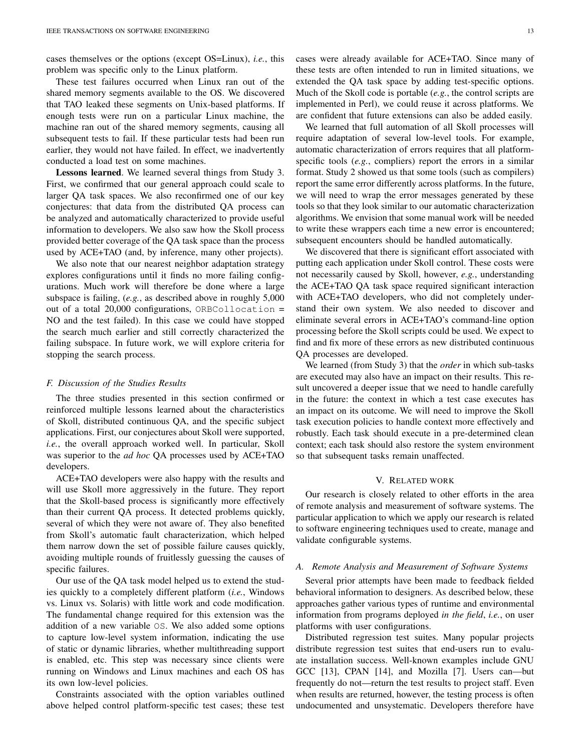cases themselves or the options (except OS=Linux), *i.e.*, this problem was specific only to the Linux platform.

These test failures occurred when Linux ran out of the shared memory segments available to the OS. We discovered that TAO leaked these segments on Unix-based platforms. If enough tests were run on a particular Linux machine, the machine ran out of the shared memory segments, causing all subsequent tests to fail. If these particular tests had been run earlier, they would not have failed. In effect, we inadvertently conducted a load test on some machines.

**Lessons learned**. We learned several things from Study 3. First, we confirmed that our general approach could scale to larger QA task spaces. We also reconfirmed one of our key conjectures: that data from the distributed QA process can be analyzed and automatically characterized to provide useful information to developers. We also saw how the Skoll process provided better coverage of the QA task space than the process used by ACE+TAO (and, by inference, many other projects).

We also note that our nearest neighbor adaptation strategy explores configurations until it finds no more failing configurations. Much work will therefore be done where a large subspace is failing, (*e.g.*, as described above in roughly 5,000 out of a total  $20,000$  configurations, ORBCollocation = NO and the test failed). In this case we could have stopped the search much earlier and still correctly characterized the failing subspace. In future work, we will explore criteria for stopping the search process.

#### *F. Discussion of the Studies Results*

The three studies presented in this section confirmed or reinforced multiple lessons learned about the characteristics of Skoll, distributed continuous QA, and the specific subject applications. First, our conjectures about Skoll were supported, *i.e.*, the overall approach worked well. In particular, Skoll was superior to the *ad hoc* QA processes used by ACE+TAO developers.

ACE+TAO developers were also happy with the results and will use Skoll more aggressively in the future. They report that the Skoll-based process is significantly more effectively than their current QA process. It detected problems quickly, several of which they were not aware of. They also benefited from Skoll's automatic fault characterization, which helped them narrow down the set of possible failure causes quickly, avoiding multiple rounds of fruitlessly guessing the causes of specific failures.

Our use of the QA task model helped us to extend the studies quickly to a completely different platform (*i.e.*, Windows vs. Linux vs. Solaris) with little work and code modification. The fundamental change required for this extension was the addition of a new variable OS. We also added some options to capture low-level system information, indicating the use of static or dynamic libraries, whether multithreading support is enabled, etc. This step was necessary since clients were running on Windows and Linux machines and each OS has its own low-level policies.

Constraints associated with the option variables outlined above helped control platform-specific test cases; these test cases were already available for ACE+TAO. Since many of these tests are often intended to run in limited situations, we extended the QA task space by adding test-specific options. Much of the Skoll code is portable (*e.g.*, the control scripts are implemented in Perl), we could reuse it across platforms. We are confident that future extensions can also be added easily.

We learned that full automation of all Skoll processes will require adaptation of several low-level tools. For example, automatic characterization of errors requires that all platformspecific tools (*e.g.*, compliers) report the errors in a similar format. Study 2 showed us that some tools (such as compilers) report the same error differently across platforms. In the future, we will need to wrap the error messages generated by these tools so that they look similar to our automatic characterization algorithms. We envision that some manual work will be needed to write these wrappers each time a new error is encountered; subsequent encounters should be handled automatically.

We discovered that there is significant effort associated with putting each application under Skoll control. These costs were not necessarily caused by Skoll, however, *e.g.*, understanding the ACE+TAO QA task space required significant interaction with ACE+TAO developers, who did not completely understand their own system. We also needed to discover and eliminate several errors in ACE+TAO's command-line option processing before the Skoll scripts could be used. We expect to find and fix more of these errors as new distributed continuous QA processes are developed.

We learned (from Study 3) that the *order* in which sub-tasks are executed may also have an impact on their results. This result uncovered a deeper issue that we need to handle carefully in the future: the context in which a test case executes has an impact on its outcome. We will need to improve the Skoll task execution policies to handle context more effectively and robustly. Each task should execute in a pre-determined clean context; each task should also restore the system environment so that subsequent tasks remain unaffected.

### V. RELATED WORK

Our research is closely related to other efforts in the area of remote analysis and measurement of software systems. The particular application to which we apply our research is related to software engineering techniques used to create, manage and validate configurable systems.

#### *A. Remote Analysis and Measurement of Software Systems*

Several prior attempts have been made to feedback fielded behavioral information to designers. As described below, these approaches gather various types of runtime and environmental information from programs deployed *in the field*, *i.e.*, on user platforms with user configurations.

Distributed regression test suites. Many popular projects distribute regression test suites that end-users run to evaluate installation success. Well-known examples include GNU GCC [13], CPAN [14], and Mozilla [7]. Users can—but frequently do not—return the test results to project staff. Even when results are returned, however, the testing process is often undocumented and unsystematic. Developers therefore have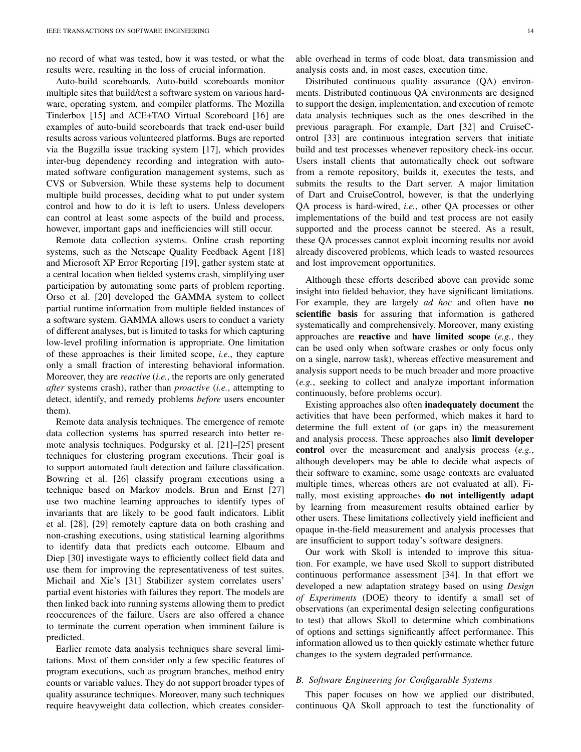no record of what was tested, how it was tested, or what the results were, resulting in the loss of crucial information.

Auto-build scoreboards. Auto-build scoreboards monitor multiple sites that build/test a software system on various hardware, operating system, and compiler platforms. The Mozilla Tinderbox [15] and ACE+TAO Virtual Scoreboard [16] are examples of auto-build scoreboards that track end-user build results across various volunteered platforms. Bugs are reported via the Bugzilla issue tracking system [17], which provides inter-bug dependency recording and integration with automated software configuration management systems, such as CVS or Subversion. While these systems help to document multiple build processes, deciding what to put under system control and how to do it is left to users. Unless developers can control at least some aspects of the build and process, however, important gaps and inefficiencies will still occur.

Remote data collection systems. Online crash reporting systems, such as the Netscape Quality Feedback Agent [18] and Microsoft XP Error Reporting [19], gather system state at a central location when fielded systems crash, simplifying user participation by automating some parts of problem reporting. Orso et al. [20] developed the GAMMA system to collect partial runtime information from multiple fielded instances of a software system. GAMMA allows users to conduct a variety of different analyses, but is limited to tasks for which capturing low-level profiling information is appropriate. One limitation of these approaches is their limited scope, *i.e.*, they capture only a small fraction of interesting behavioral information. Moreover, they are *reactive* (*i.e.*, the reports are only generated *after* systems crash), rather than *proactive* (*i.e.*, attempting to detect, identify, and remedy problems *before* users encounter them).

Remote data analysis techniques. The emergence of remote data collection systems has spurred research into better remote analysis techniques. Podgursky et al. [21]–[25] present techniques for clustering program executions. Their goal is to support automated fault detection and failure classification. Bowring et al. [26] classify program executions using a technique based on Markov models. Brun and Ernst [27] use two machine learning approaches to identify types of invariants that are likely to be good fault indicators. Liblit et al. [28], [29] remotely capture data on both crashing and non-crashing executions, using statistical learning algorithms to identify data that predicts each outcome. Elbaum and Diep [30] investigate ways to efficiently collect field data and use them for improving the representativeness of test suites. Michail and Xie's [31] Stabilizer system correlates users' partial event histories with failures they report. The models are then linked back into running systems allowing them to predict reoccurences of the failure. Users are also offered a chance to terminate the current operation when imminent failure is predicted.

Earlier remote data analysis techniques share several limitations. Most of them consider only a few specific features of program executions, such as program branches, method entry counts or variable values. They do not support broader types of quality assurance techniques. Moreover, many such techniques require heavyweight data collection, which creates considerable overhead in terms of code bloat, data transmission and analysis costs and, in most cases, execution time.

Distributed continuous quality assurance (QA) environments. Distributed continuous QA environments are designed to support the design, implementation, and execution of remote data analysis techniques such as the ones described in the previous paragraph. For example, Dart [32] and CruiseControl [33] are continuous integration servers that initiate build and test processes whenever repository check-ins occur. Users install clients that automatically check out software from a remote repository, builds it, executes the tests, and submits the results to the Dart server. A major limitation of Dart and CruiseControl, however, is that the underlying QA process is hard-wired, *i.e.*, other QA processes or other implementations of the build and test process are not easily supported and the process cannot be steered. As a result, these QA processes cannot exploit incoming results nor avoid already discovered problems, which leads to wasted resources and lost improvement opportunities.

Although these efforts described above can provide some insight into fielded behavior, they have significant limitations. For example, they are largely *ad hoc* and often have **no scientific basis** for assuring that information is gathered systematically and comprehensively. Moreover, many existing approaches are **reactive** and **have limited scope** (*e.g.*, they can be used only when software crashes or only focus only on a single, narrow task), whereas effective measurement and analysis support needs to be much broader and more proactive (*e.g.*, seeking to collect and analyze important information continuously, before problems occur).

Existing approaches also often **inadequately document** the activities that have been performed, which makes it hard to determine the full extent of (or gaps in) the measurement and analysis process. These approaches also **limit developer control** over the measurement and analysis process (*e.g.*, although developers may be able to decide what aspects of their software to examine, some usage contexts are evaluated multiple times, whereas others are not evaluated at all). Finally, most existing approaches **do not intelligently adapt** by learning from measurement results obtained earlier by other users. These limitations collectively yield inefficient and opaque in-the-field measurement and analysis processes that are insufficient to support today's software designers.

Our work with Skoll is intended to improve this situation. For example, we have used Skoll to support distributed continuous performance assessment [34]. In that effort we developed a new adaptation strategy based on using *Design of Experiments* (DOE) theory to identify a small set of observations (an experimental design selecting configurations to test) that allows Skoll to determine which combinations of options and settings significantly affect performance. This information allowed us to then quickly estimate whether future changes to the system degraded performance.

# *B. Software Engineering for Configurable Systems*

This paper focuses on how we applied our distributed, continuous QA Skoll approach to test the functionality of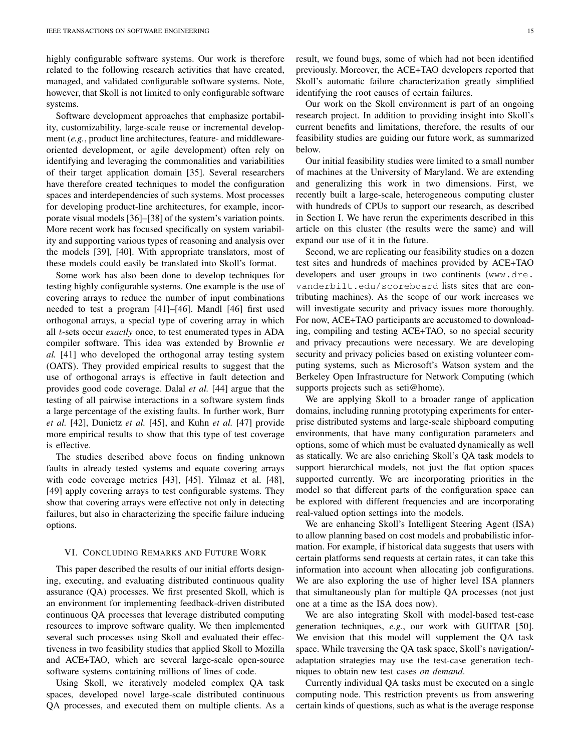highly configurable software systems. Our work is therefore related to the following research activities that have created, managed, and validated configurable software systems. Note, however, that Skoll is not limited to only configurable software systems.

Software development approaches that emphasize portability, customizability, large-scale reuse or incremental development (*e.g.*, product line architectures, feature- and middlewareoriented development, or agile development) often rely on identifying and leveraging the commonalities and variabilities of their target application domain [35]. Several researchers have therefore created techniques to model the configuration spaces and interdependencies of such systems. Most processes for developing product-line architectures, for example, incorporate visual models [36]–[38] of the system's variation points. More recent work has focused specifically on system variability and supporting various types of reasoning and analysis over the models [39], [40]. With appropriate translators, most of these models could easily be translated into Skoll's format.

Some work has also been done to develop techniques for testing highly configurable systems. One example is the use of covering arrays to reduce the number of input combinations needed to test a program [41]–[46]. Mandl [46] first used orthogonal arrays, a special type of covering array in which all t-sets occur *exactly* once, to test enumerated types in ADA compiler software. This idea was extended by Brownlie *et al.* [41] who developed the orthogonal array testing system (OATS). They provided empirical results to suggest that the use of orthogonal arrays is effective in fault detection and provides good code coverage. Dalal *et al.* [44] argue that the testing of all pairwise interactions in a software system finds a large percentage of the existing faults. In further work, Burr *et al.* [42], Dunietz *et al.* [45], and Kuhn *et al.* [47] provide more empirical results to show that this type of test coverage is effective.

The studies described above focus on finding unknown faults in already tested systems and equate covering arrays with code coverage metrics [43], [45]. Yilmaz et al. [48], [49] apply covering arrays to test configurable systems. They show that covering arrays were effective not only in detecting failures, but also in characterizing the specific failure inducing options.

## VI. CONCLUDING REMARKS AND FUTURE WORK

This paper described the results of our initial efforts designing, executing, and evaluating distributed continuous quality assurance (QA) processes. We first presented Skoll, which is an environment for implementing feedback-driven distributed continuous QA processes that leverage distributed computing resources to improve software quality. We then implemented several such processes using Skoll and evaluated their effectiveness in two feasibility studies that applied Skoll to Mozilla and ACE+TAO, which are several large-scale open-source software systems containing millions of lines of code.

Using Skoll, we iteratively modeled complex QA task spaces, developed novel large-scale distributed continuous QA processes, and executed them on multiple clients. As a result, we found bugs, some of which had not been identified previously. Moreover, the ACE+TAO developers reported that Skoll's automatic failure characterization greatly simplified identifying the root causes of certain failures.

Our work on the Skoll environment is part of an ongoing research project. In addition to providing insight into Skoll's current benefits and limitations, therefore, the results of our feasibility studies are guiding our future work, as summarized below.

Our initial feasibility studies were limited to a small number of machines at the University of Maryland. We are extending and generalizing this work in two dimensions. First, we recently built a large-scale, heterogeneous computing cluster with hundreds of CPUs to support our research, as described in Section I. We have rerun the experiments described in this article on this cluster (the results were the same) and will expand our use of it in the future.

Second, we are replicating our feasibility studies on a dozen test sites and hundreds of machines provided by ACE+TAO developers and user groups in two continents (www.dre. vanderbilt.edu/scoreboard lists sites that are contributing machines). As the scope of our work increases we will investigate security and privacy issues more thoroughly. For now, ACE+TAO participants are accustomed to downloading, compiling and testing ACE+TAO, so no special security and privacy precautions were necessary. We are developing security and privacy policies based on existing volunteer computing systems, such as Microsoft's Watson system and the Berkeley Open Infrastructure for Network Computing (which supports projects such as seti@home).

We are applying Skoll to a broader range of application domains, including running prototyping experiments for enterprise distributed systems and large-scale shipboard computing environments, that have many configuration parameters and options, some of which must be evaluated dynamically as well as statically. We are also enriching Skoll's QA task models to support hierarchical models, not just the flat option spaces supported currently. We are incorporating priorities in the model so that different parts of the configuration space can be explored with different frequencies and are incorporating real-valued option settings into the models.

We are enhancing Skoll's Intelligent Steering Agent (ISA) to allow planning based on cost models and probabilistic information. For example, if historical data suggests that users with certain platforms send requests at certain rates, it can take this information into account when allocating job configurations. We are also exploring the use of higher level ISA planners that simultaneously plan for multiple QA processes (not just one at a time as the ISA does now).

We are also integrating Skoll with model-based test-case generation techniques, *e.g.*, our work with GUITAR [50]. We envision that this model will supplement the QA task space. While traversing the QA task space, Skoll's navigation/ adaptation strategies may use the test-case generation techniques to obtain new test cases *on demand*.

Currently individual QA tasks must be executed on a single computing node. This restriction prevents us from answering certain kinds of questions, such as what is the average response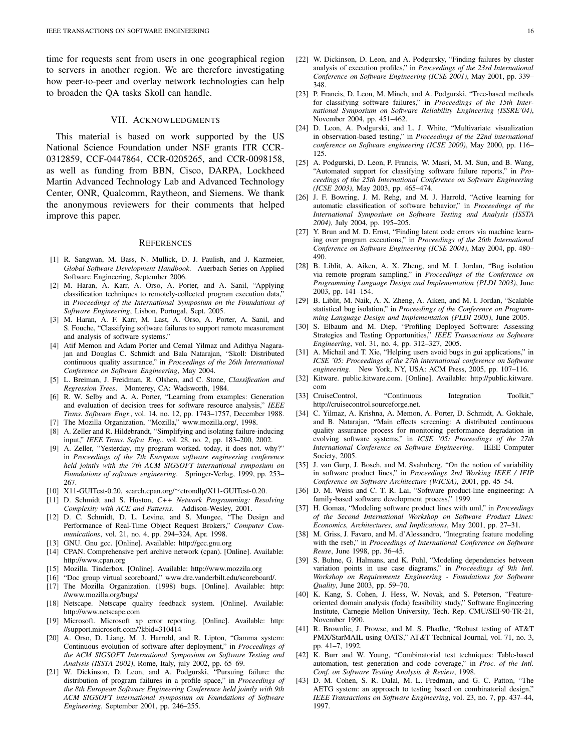time for requests sent from users in one geographical region to servers in another region. We are therefore investigating how peer-to-peer and overlay network technologies can help to broaden the QA tasks Skoll can handle.

## VII. ACKNOWLEDGMENTS

This material is based on work supported by the US National Science Foundation under NSF grants ITR CCR-0312859, CCF-0447864, CCR-0205265, and CCR-0098158, as well as funding from BBN, Cisco, DARPA, Lockheed Martin Advanced Technology Lab and Advanced Technology Center, ONR, Qualcomm, Raytheon, and Siemens. We thank the anonymous reviewers for their comments that helped improve this paper.

#### **REFERENCES**

- [1] R. Sangwan, M. Bass, N. Mullick, D. J. Paulish, and J. Kazmeier, *Global Software Development Handbook*. Auerbach Series on Applied Software Engineering, September 2006.
- [2] M. Haran, A. Karr, A. Orso, A. Porter, and A. Sanil, "Applying classification techniques to remotely-collected program execution data, in *Proceedings of the International Symposium on the Foundations of Software Engineering*, Lisbon, Portugal, Sept. 2005.
- [3] M. Haran, A. F. Karr, M. Last, A. Orso, A. Porter, A. Sanil, and S. Fouche, "Classifying software failures to support remote measurement and analysis of software systems."
- [4] Atif Memon and Adam Porter and Cemal Yilmaz and Adithya Nagarajan and Douglas C. Schmidt and Bala Natarajan, "Skoll: Distributed continuous quality assurance," in *Proceedings of the 26th International Conference on Software Engineering*, May 2004.
- [5] L. Breiman, J. Freidman, R. Olshen, and C. Stone, *Classification and Regression Trees*. Monterey, CA: Wadsworth, 1984.
- [6] R. W. Selby and A. A. Porter, "Learning from examples: Generation and evaluation of decision trees for software resource analysis," *IEEE Trans. Software Engr.*, vol. 14, no. 12, pp. 1743–1757, December 1988.
- [7] The Mozilla Organization, "Mozilla," www.mozilla.org/, 1998. [8] A. Zeller and R. Hildebrandt, "Simplifying and isolating failure-inducing input," *IEEE Trans. Softw. Eng.*, vol. 28, no. 2, pp. 183–200, 2002.
- [9] A. Zeller, "Yesterday, my program worked. today, it does not. why?" in *Proceedings of the 7th European software engineering conference held jointly with the 7th ACM SIGSOFT international symposium on Foundations of software engineering*. Springer-Verlag, 1999, pp. 253– 267.
- [10] X11-GUITest-0.20, search.cpan.org/∼ctrondlp/X11-GUITest-0.20.
- [11] D. Schmidt and S. Huston, *C++ Network Programming: Resolving Complexity with ACE and Patterns*. Addison-Wesley, 2001.
- [12] D. C. Schmidt, D. L. Levine, and S. Mungee, "The Design and Performance of Real-Time Object Request Brokers," *Computer Communications*, vol. 21, no. 4, pp. 294–324, Apr. 1998.
- [13] GNU. Gnu gcc. [Online]. Available: http://gcc.gnu.org
- [14] CPAN. Comprehensive perl archive network (cpan). [Online]. Available: http://www.cpan.org
- [15] Mozilla. Tinderbox. [Online]. Available: http://www.mozzila.org
- [16] "Doc group virtual scoreboard," www.dre.vanderbilt.edu/scoreboard/. [17] The Mozilla Organization. (1998) bugs. [Online]. Available: http:
- //www.mozilla.org/bugs/ [18] Netscape. Netscape quality feedback system. [Online]. Available:
- http://www.netscape.com
- [19] Microsoft. Microsoft xp error reporting. [Online]. Available: http: //support.microsoft.com/?kbid=310414
- [20] A. Orso, D. Liang, M. J. Harrold, and R. Lipton, "Gamma system: Continuous evolution of software after deployment," in *Proceedings of the ACM SIGSOFT International Symposium on Software Testing and Analysis (ISSTA 2002)*, Rome, Italy, july 2002, pp. 65–69.
- [21] W. Dickinson, D. Leon, and A. Podgurski, "Pursuing failure: the distribution of program failures in a profile space," in *Proceedings of the 8th European Software Engineering Conference held jointly with 9th ACM SIGSOFT international symposium on Foundations of Software Engineering*, September 2001, pp. 246–255.
- [22] W. Dickinson, D. Leon, and A. Podgursky, "Finding failures by cluster analysis of execution profiles," in *Proceedings of the 23rd International Conference on Software Engineering (ICSE 2001)*, May 2001, pp. 339– 348.
- [23] P. Francis, D. Leon, M. Minch, and A. Podgurski, "Tree-based methods for classifying software failures," in *Proceedings of the 15th International Symposium on Software Reliability Engineering (ISSRE'04)*, November 2004, pp. 451–462.
- [24] D. Leon, A. Podgurski, and L. J. White, "Multivariate visualization in observation-based testing," in *Proceedings of the 22nd international conference on Software engineering (ICSE 2000)*, May 2000, pp. 116– 125.
- [25] A. Podgurski, D. Leon, P. Francis, W. Masri, M. M. Sun, and B. Wang, "Automated support for classifying software failure reports," in *Proceedings of the 25th International Conference on Software Engineering (ICSE 2003)*, May 2003, pp. 465–474.
- [26] J. F. Bowring, J. M. Rehg, and M. J. Harrold, "Active learning for automatic classification of software behavior," in *Proceedings of the International Symposium on Software Testing and Analysis (ISSTA 2004)*, July 2004, pp. 195–205.
- [27] Y. Brun and M. D. Ernst, "Finding latent code errors via machine learning over program executions," in *Proceedings of the 26th International Conference on Software Engineering (ICSE 2004)*, May 2004, pp. 480– 490.
- [28] B. Liblit, A. Aiken, A. X. Zheng, and M. I. Jordan, "Bug isolation via remote program sampling," in *Proceedings of the Conference on Programming Language Design and Implementation (PLDI 2003)*, June 2003, pp. 141–154.
- [29] B. Liblit, M. Naik, A. X. Zheng, A. Aiken, and M. I. Jordan, "Scalable statistical bug isolation," in *Proceedings of the Conference on Programming Language Design and Implementation (PLDI 2005)*, June 2005.
- [30] S. Elbaum and M. Diep, "Profiling Deployed Software: Assessing Strategies and Testing Opportunities," *IEEE Transactions on Software Engineering*, vol. 31, no. 4, pp. 312–327, 2005.
- [31] A. Michail and T. Xie, "Helping users avoid bugs in gui applications," in *ICSE '05: Proceedings of the 27th international conference on Software engineering*. New York, NY, USA: ACM Press, 2005, pp. 107–116.
- [32] Kitware. public.kitware.com. [Online]. Available: http://public.kitware. com
- [33] CruiseControl, "Continuous Integration Toolkit," http://cruisecontrol.sourceforge.net.
- [34] C. Yilmaz, A. Krishna, A. Memon, A. Porter, D. Schmidt, A. Gokhale, and B. Natarajan, "Main effects screening: A distributed continuous quality assurance process for monitoring performance degradation in evolving software systems," in *ICSE '05: Proceedings of the 27th International Conference on Software Engineering*. IEEE Computer Society, 2005.
- [35] J. van Gurp, J. Bosch, and M. Svahnberg, "On the notion of variability in software product lines," in *Proceedings 2nd Working IEEE / IFIP Conference on Software Architecture (WICSA)*, 2001, pp. 45–54.
- [36] D. M. Weiss and C. T. R. Lai, "Software product-line engineering: A family-based software development process," 1999.
- [37] H. Gomaa, "Modeling software product lines with uml," in *Proceedings of the Second International Workshop on Software Product Lines: Economics, Architectures, and Implications*, May 2001, pp. 27–31.
- [38] M. Griss, J. Favaro, and M. d'Alessandro, "Integrating feature modeling with the rseb," in *Proceedings of International Conference on Software Reuse*, June 1998, pp. 36–45.
- [39] S. Buhne, G. Halmans, and K. Pohl, "Modeling dependencies between variation points in use case diagrams," in *Proceedings of 9th Intl. Workshop on Requirements Engineering - Foundations for Software Quality*, June 2003, pp. 59–70.
- [40] K. Kang, S. Cohen, J. Hess, W. Novak, and S. Peterson, "Featureoriented domain analysis (foda) feasibility study," Software Engineering Institute, Carnegie Mellon University, Tech. Rep. CMU/SEI-90-TR-21, November 1990.
- [41] R. Brownlie, J. Prowse, and M. S. Phadke, "Robust testing of AT&T PMX/StarMAIL using OATS," AT*&*T Technical Journal, vol. 71, no. 3, pp. 41–7, 1992.
- [42] K. Burr and W. Young, "Combinatorial test techniques: Table-based automation, test generation and code coverage," in *Proc. of the Intl. Conf. on Software Testing Analysis & Review*, 1998.
- [43] D. M. Cohen, S. R. Dalal, M. L. Fredman, and G. C. Patton, "The AETG system: an approach to testing based on combinatorial design," *IEEE Transactions on Software Engineering*, vol. 23, no. 7, pp. 437–44, 1997.